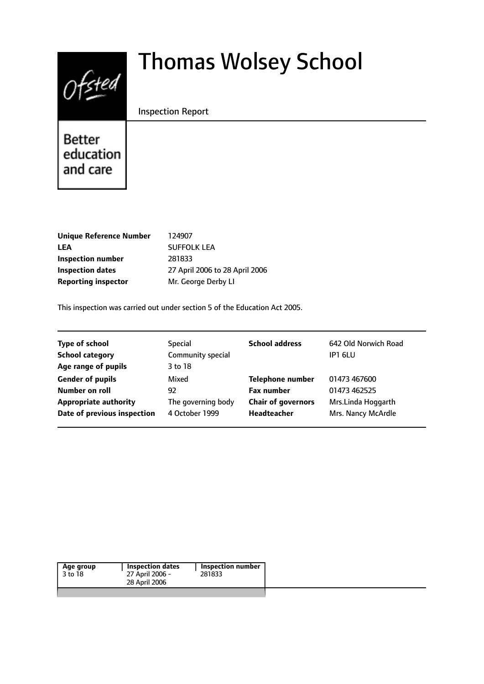# $Of$ sted

# Thomas Wolsey School

# Inspection Report

Better education and care

| <b>Unique Reference Number</b> | 124907                         |
|--------------------------------|--------------------------------|
| LEA                            | <b>SUFFOLK LEA</b>             |
| Inspection number              | 281833                         |
| Inspection dates               | 27 April 2006 to 28 April 2006 |
| <b>Reporting inspector</b>     | Mr. George Derby LI            |
|                                |                                |

This inspection was carried out under section 5 of the Education Act 2005.

| <b>Type of school</b>        | Special            | <b>School address</b>     | 642 Old Norwich Road |
|------------------------------|--------------------|---------------------------|----------------------|
| <b>School category</b>       | Community special  |                           | IP1 6LU              |
| Age range of pupils          | 3 to 18            |                           |                      |
| <b>Gender of pupils</b>      | Mixed              | <b>Telephone number</b>   | 01473 467600         |
| Number on roll               | 92                 | <b>Fax number</b>         | 01473 462525         |
| <b>Appropriate authority</b> | The governing body | <b>Chair of governors</b> | Mrs.Linda Hoggarth   |
| Date of previous inspection  | 4 October 1999     | Headteacher               | Mrs. Nancy McArdle   |
|                              |                    |                           |                      |

|--|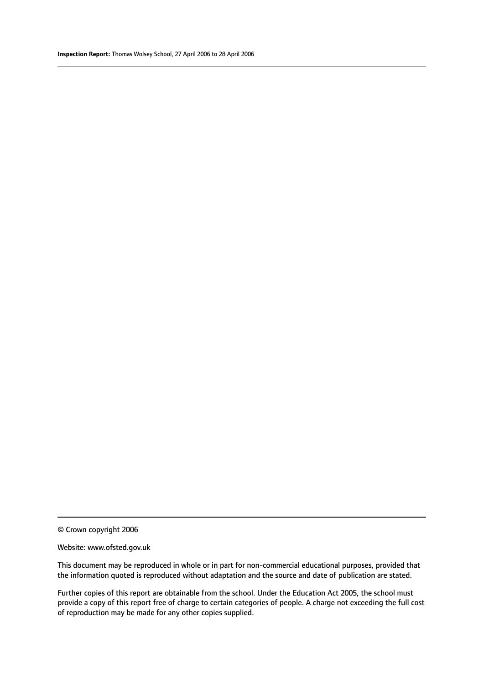© Crown copyright 2006

#### Website: www.ofsted.gov.uk

This document may be reproduced in whole or in part for non-commercial educational purposes, provided that the information quoted is reproduced without adaptation and the source and date of publication are stated.

Further copies of this report are obtainable from the school. Under the Education Act 2005, the school must provide a copy of this report free of charge to certain categories of people. A charge not exceeding the full cost of reproduction may be made for any other copies supplied.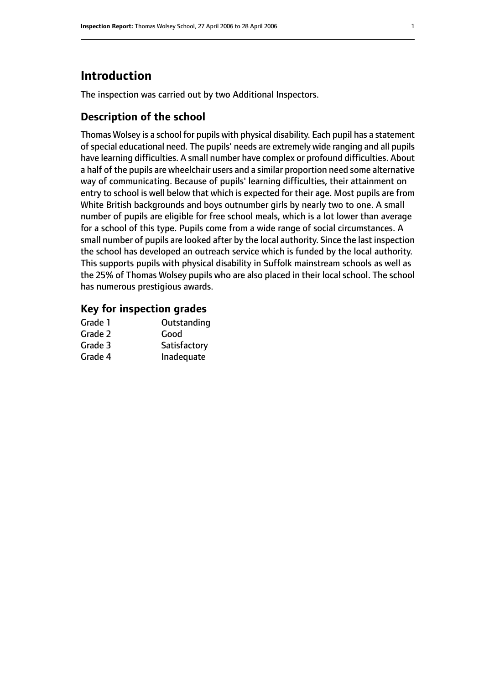# **Introduction**

The inspection was carried out by two Additional Inspectors.

# **Description of the school**

Thomas Wolsey is a school for pupils with physical disability. Each pupil has a statement ofspecial educational need. The pupils' needs are extremely wide ranging and all pupils have learning difficulties. A small number have complex or profound difficulties. About a half of the pupils are wheelchair users and a similar proportion need some alternative way of communicating. Because of pupils' learning difficulties, their attainment on entry to school is well below that which is expected for their age. Most pupils are from White British backgrounds and boys outnumber girls by nearly two to one. A small number of pupils are eligible for free school meals, which is a lot lower than average for a school of this type. Pupils come from a wide range of social circumstances. A small number of pupils are looked after by the local authority. Since the last inspection the school has developed an outreach service which is funded by the local authority. This supports pupils with physical disability in Suffolk mainstream schools as well as the 25% of Thomas Wolsey pupils who are also placed in their local school. The school has numerous prestigious awards.

# **Key for inspection grades**

| Grade 1 | Outstanding  |
|---------|--------------|
| Grade 2 | Good         |
| Grade 3 | Satisfactory |
| Grade 4 | Inadequate   |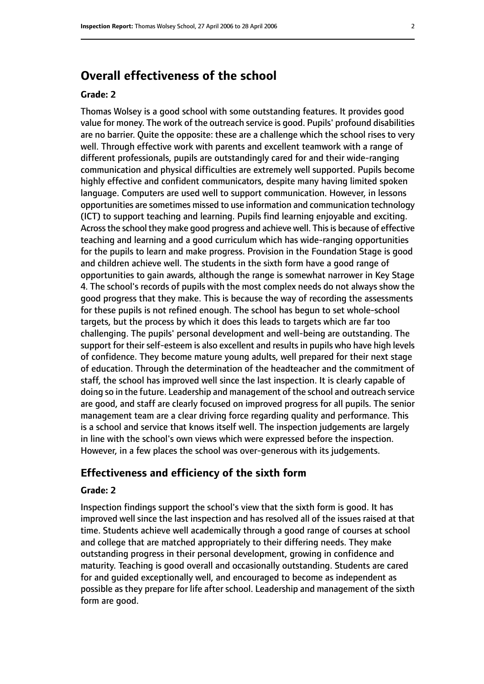# **Overall effectiveness of the school**

#### **Grade: 2**

Thomas Wolsey is a good school with some outstanding features. It provides good value for money. The work of the outreach service is good. Pupils' profound disabilities are no barrier. Quite the opposite: these are a challenge which the school rises to very well. Through effective work with parents and excellent teamwork with a range of different professionals, pupils are outstandingly cared for and their wide-ranging communication and physical difficulties are extremely well supported. Pupils become highly effective and confident communicators, despite many having limited spoken language. Computers are used well to support communication. However, in lessons opportunities are sometimes missed to use information and communication technology (ICT) to support teaching and learning. Pupils find learning enjoyable and exciting. Across the school they make good progress and achieve well. This is because of effective teaching and learning and a good curriculum which has wide-ranging opportunities for the pupils to learn and make progress. Provision in the Foundation Stage is good and children achieve well. The students in the sixth form have a good range of opportunities to gain awards, although the range is somewhat narrower in Key Stage 4. The school's records of pupils with the most complex needs do not always show the good progress that they make. This is because the way of recording the assessments for these pupils is not refined enough. The school has begun to set whole-school targets, but the process by which it does this leads to targets which are far too challenging. The pupils' personal development and well-being are outstanding. The support for their self-esteem is also excellent and results in pupils who have high levels of confidence. They become mature young adults, well prepared for their next stage of education. Through the determination of the headteacher and the commitment of staff, the school has improved well since the last inspection. It is clearly capable of doing so in the future. Leadership and management of the school and outreach service are good, and staff are clearly focused on improved progress for all pupils. The senior management team are a clear driving force regarding quality and performance. This is a school and service that knows itself well. The inspection judgements are largely in line with the school's own views which were expressed before the inspection. However, in a few places the school was over-generous with its judgements.

# **Effectiveness and efficiency of the sixth form**

#### **Grade: 2**

Inspection findings support the school's view that the sixth form is good. It has improved well since the last inspection and has resolved all of the issues raised at that time. Students achieve well academically through a good range of courses at school and college that are matched appropriately to their differing needs. They make outstanding progress in their personal development, growing in confidence and maturity. Teaching is good overall and occasionally outstanding. Students are cared for and guided exceptionally well, and encouraged to become as independent as possible as they prepare for life after school. Leadership and management of the sixth form are good.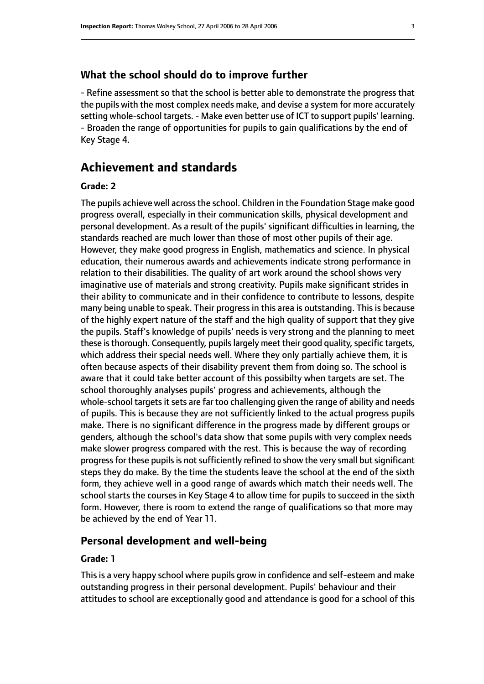# **What the school should do to improve further**

- Refine assessment so that the school is better able to demonstrate the progress that the pupils with the most complex needs make, and devise a system for more accurately setting whole-school targets. - Make even better use of ICT to support pupils' learning. - Broaden the range of opportunities for pupils to gain qualifications by the end of Key Stage 4.

# **Achievement and standards**

# **Grade: 2**

The pupils achieve well across the school. Children in the Foundation Stage make good progress overall, especially in their communication skills, physical development and personal development. As a result of the pupils' significant difficulties in learning, the standards reached are much lower than those of most other pupils of their age. However, they make good progress in English, mathematics and science. In physical education, their numerous awards and achievements indicate strong performance in relation to their disabilities. The quality of art work around the school shows very imaginative use of materials and strong creativity. Pupils make significant strides in their ability to communicate and in their confidence to contribute to lessons, despite many being unable to speak. Their progress in this area is outstanding. This is because of the highly expert nature of the staff and the high quality of support that they give the pupils. Staff's knowledge of pupils' needs is very strong and the planning to meet these is thorough. Consequently, pupils largely meet their good quality, specific targets, which address their special needs well. Where they only partially achieve them, it is often because aspects of their disability prevent them from doing so. The school is aware that it could take better account of this possibilty when targets are set. The school thoroughly analyses pupils' progress and achievements, although the whole-school targets it sets are far too challenging given the range of ability and needs of pupils. This is because they are not sufficiently linked to the actual progress pupils make. There is no significant difference in the progress made by different groups or genders, although the school's data show that some pupils with very complex needs make slower progress compared with the rest. This is because the way of recording progress for these pupils is not sufficiently refined to show the very small but significant steps they do make. By the time the students leave the school at the end of the sixth form, they achieve well in a good range of awards which match their needs well. The school starts the courses in Key Stage 4 to allow time for pupils to succeed in the sixth form. However, there is room to extend the range of qualifications so that more may be achieved by the end of Year 11.

# **Personal development and well-being**

#### **Grade: 1**

This is a very happy school where pupils grow in confidence and self-esteem and make outstanding progress in their personal development. Pupils' behaviour and their attitudes to school are exceptionally good and attendance is good for a school of this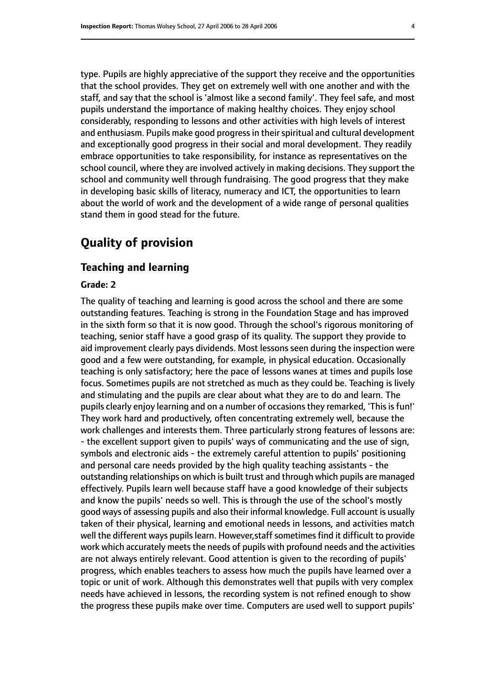type. Pupils are highly appreciative of the support they receive and the opportunities that the school provides. They get on extremely well with one another and with the staff, and say that the school is 'almost like a second family'. They feel safe, and most pupils understand the importance of making healthy choices. They enjoy school considerably, responding to lessons and other activities with high levels of interest and enthusiasm. Pupils make good progress in their spiritual and cultural development and exceptionally good progress in their social and moral development. They readily embrace opportunities to take responsibility, for instance as representatives on the school council, where they are involved actively in making decisions. They support the school and community well through fundraising. The good progress that they make in developing basic skills of literacy, numeracy and ICT, the opportunities to learn about the world of work and the development of a wide range of personal qualities stand them in good stead for the future.

# **Quality of provision**

# **Teaching and learning**

# **Grade: 2**

The quality of teaching and learning is good across the school and there are some outstanding features. Teaching is strong in the Foundation Stage and has improved in the sixth form so that it is now good. Through the school's rigorous monitoring of teaching, senior staff have a good grasp of its quality. The support they provide to aid improvement clearly pays dividends. Most lessons seen during the inspection were good and a few were outstanding, for example, in physical education. Occasionally teaching is only satisfactory; here the pace of lessons wanes at times and pupils lose focus. Sometimes pupils are not stretched as much as they could be. Teaching is lively and stimulating and the pupils are clear about what they are to do and learn. The pupils clearly enjoy learning and on a number of occasions they remarked, 'This is fun!' They work hard and productively, often concentrating extremely well, because the work challenges and interests them. Three particularly strong features of lessons are: - the excellent support given to pupils' ways of communicating and the use of sign, symbols and electronic aids - the extremely careful attention to pupils' positioning and personal care needs provided by the high quality teaching assistants - the outstanding relationships on which is built trust and through which pupils are managed effectively. Pupils learn well because staff have a good knowledge of their subjects and know the pupils' needs so well. This is through the use of the school's mostly good ways of assessing pupils and also their informal knowledge. Full account is usually taken of their physical, learning and emotional needs in lessons, and activities match well the different ways pupils learn. However, staff sometimes find it difficult to provide work which accurately meets the needs of pupils with profound needs and the activities are not always entirely relevant. Good attention is given to the recording of pupils' progress, which enables teachers to assess how much the pupils have learned over a topic or unit of work. Although this demonstrates well that pupils with very complex needs have achieved in lessons, the recording system is not refined enough to show the progress these pupils make over time. Computers are used well to support pupils'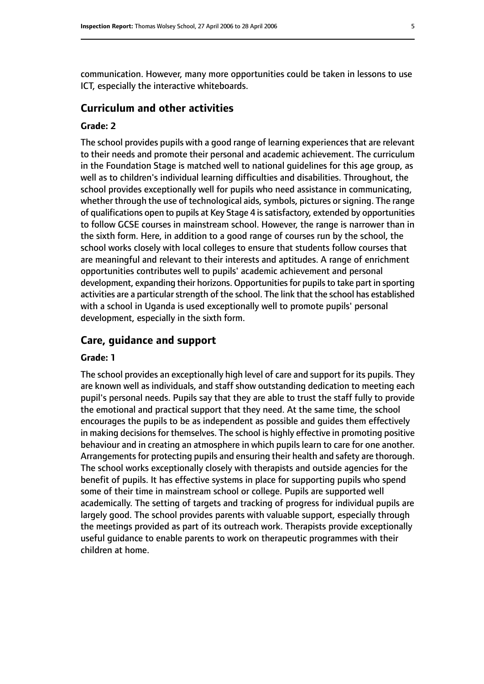communication. However, many more opportunities could be taken in lessons to use ICT, especially the interactive whiteboards.

# **Curriculum and other activities**

# **Grade: 2**

The school provides pupils with a good range of learning experiences that are relevant to their needs and promote their personal and academic achievement. The curriculum in the Foundation Stage is matched well to national guidelines for this age group, as well as to children's individual learning difficulties and disabilities. Throughout, the school provides exceptionally well for pupils who need assistance in communicating, whether through the use of technological aids, symbols, pictures or signing. The range of qualifications open to pupils at Key Stage 4 is satisfactory, extended by opportunities to follow GCSE courses in mainstream school. However, the range is narrower than in the sixth form. Here, in addition to a good range of courses run by the school, the school works closely with local colleges to ensure that students follow courses that are meaningful and relevant to their interests and aptitudes. A range of enrichment opportunities contributes well to pupils' academic achievement and personal development, expanding their horizons. Opportunities for pupils to take part in sporting activities are a particular strength of the school. The link that the school has established with a school in Uganda is used exceptionally well to promote pupils' personal development, especially in the sixth form.

# **Care, guidance and support**

#### **Grade: 1**

The school provides an exceptionally high level of care and support for its pupils. They are known well as individuals, and staff show outstanding dedication to meeting each pupil's personal needs. Pupils say that they are able to trust the staff fully to provide the emotional and practical support that they need. At the same time, the school encourages the pupils to be as independent as possible and guides them effectively in making decisions for themselves. The school is highly effective in promoting positive behaviour and in creating an atmosphere in which pupils learn to care for one another. Arrangements for protecting pupils and ensuring their health and safety are thorough. The school works exceptionally closely with therapists and outside agencies for the benefit of pupils. It has effective systems in place for supporting pupils who spend some of their time in mainstream school or college. Pupils are supported well academically. The setting of targets and tracking of progress for individual pupils are largely good. The school provides parents with valuable support, especially through the meetings provided as part of its outreach work. Therapists provide exceptionally useful guidance to enable parents to work on therapeutic programmes with their children at home.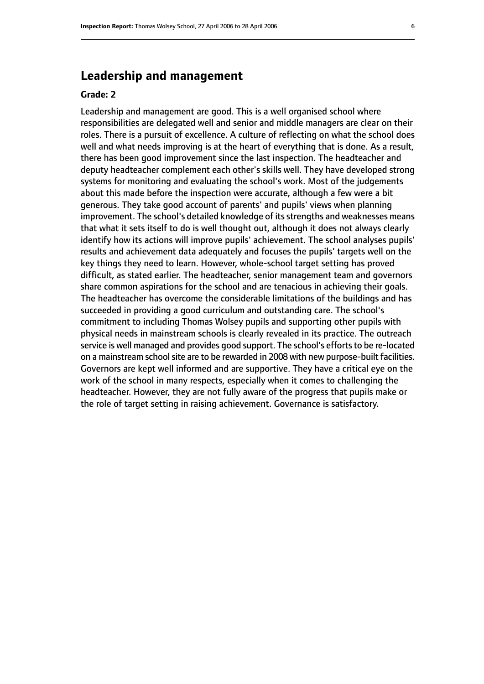# **Leadership and management**

# **Grade: 2**

Leadership and management are good. This is a well organised school where responsibilities are delegated well and senior and middle managers are clear on their roles. There is a pursuit of excellence. A culture of reflecting on what the school does well and what needs improving is at the heart of everything that is done. As a result, there has been good improvement since the last inspection. The headteacher and deputy headteacher complement each other's skills well. They have developed strong systems for monitoring and evaluating the school's work. Most of the judgements about this made before the inspection were accurate, although a few were a bit generous. They take good account of parents' and pupils' views when planning improvement. The school's detailed knowledge of its strengths and weaknesses means that what it sets itself to do is well thought out, although it does not always clearly identify how its actions will improve pupils' achievement. The school analyses pupils' results and achievement data adequately and focuses the pupils' targets well on the key things they need to learn. However, whole-school target setting has proved difficult, as stated earlier. The headteacher, senior management team and governors share common aspirations for the school and are tenacious in achieving their goals. The headteacher has overcome the considerable limitations of the buildings and has succeeded in providing a good curriculum and outstanding care. The school's commitment to including Thomas Wolsey pupils and supporting other pupils with physical needs in mainstream schools is clearly revealed in its practice. The outreach service is well managed and provides good support. The school's efforts to be re-located on a mainstream school site are to be rewarded in 2008 with new purpose-built facilities. Governors are kept well informed and are supportive. They have a critical eye on the work of the school in many respects, especially when it comes to challenging the headteacher. However, they are not fully aware of the progress that pupils make or the role of target setting in raising achievement. Governance is satisfactory.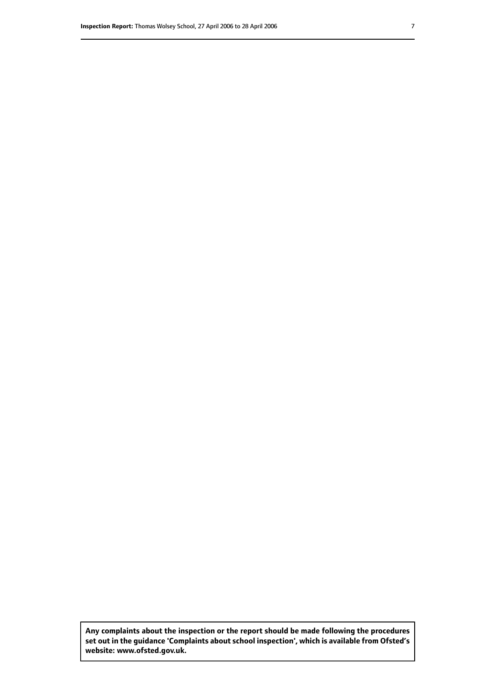**Any complaints about the inspection or the report should be made following the procedures set out inthe guidance 'Complaints about school inspection', whichis available from Ofsted's website: www.ofsted.gov.uk.**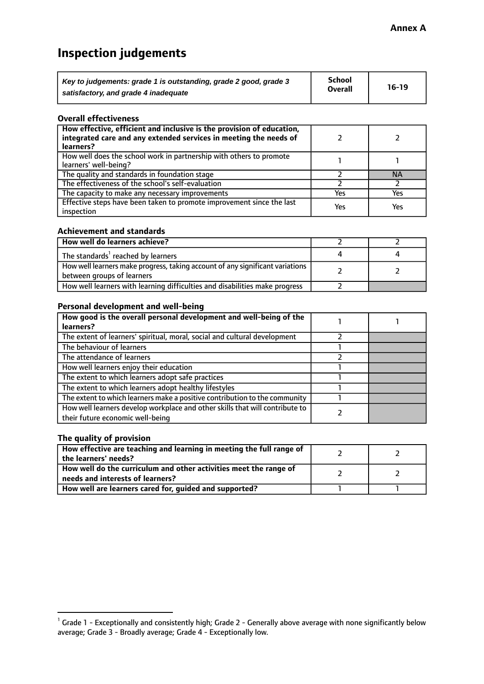# **Inspection judgements**

| Key to judgements: grade 1 is outstanding, grade 2 good, grade 3 | School         | $16-19$ |
|------------------------------------------------------------------|----------------|---------|
| satisfactory, and grade 4 inadequate                             | <b>Overall</b> |         |

#### **Overall effectiveness**

| How effective, efficient and inclusive is the provision of education,<br>integrated care and any extended services in meeting the needs of<br>learners? |     |           |
|---------------------------------------------------------------------------------------------------------------------------------------------------------|-----|-----------|
| How well does the school work in partnership with others to promote<br>learners' well-being?                                                            |     |           |
| The quality and standards in foundation stage                                                                                                           |     | <b>NA</b> |
| The effectiveness of the school's self-evaluation                                                                                                       |     |           |
| The capacity to make any necessary improvements                                                                                                         | Yes | Yes       |
| Effective steps have been taken to promote improvement since the last<br>inspection                                                                     | Yes | Yes       |

#### **Achievement and standards**

| How well do learners achieve?                                                                               |  |
|-------------------------------------------------------------------------------------------------------------|--|
| The standards <sup>1</sup> reached by learners                                                              |  |
| How well learners make progress, taking account of any significant variations<br>between groups of learners |  |
| How well learners with learning difficulties and disabilities make progress                                 |  |

# **Personal development and well-being**

| How good is the overall personal development and well-being of the                                               |  |
|------------------------------------------------------------------------------------------------------------------|--|
| learners?                                                                                                        |  |
| The extent of learners' spiritual, moral, social and cultural development                                        |  |
| The behaviour of learners                                                                                        |  |
| The attendance of learners                                                                                       |  |
| How well learners enjoy their education                                                                          |  |
| The extent to which learners adopt safe practices                                                                |  |
| The extent to which learners adopt healthy lifestyles                                                            |  |
| The extent to which learners make a positive contribution to the community                                       |  |
| How well learners develop workplace and other skills that will contribute to<br>their future economic well-being |  |

# **The quality of provision**

| How effective are teaching and learning in meeting the full range of<br>the learners' needs?          |  |
|-------------------------------------------------------------------------------------------------------|--|
| How well do the curriculum and other activities meet the range of<br>needs and interests of learners? |  |
| How well are learners cared for, guided and supported?                                                |  |

 $^1$  Grade 1 - Exceptionally and consistently high; Grade 2 - Generally above average with none significantly below average; Grade 3 - Broadly average; Grade 4 - Exceptionally low.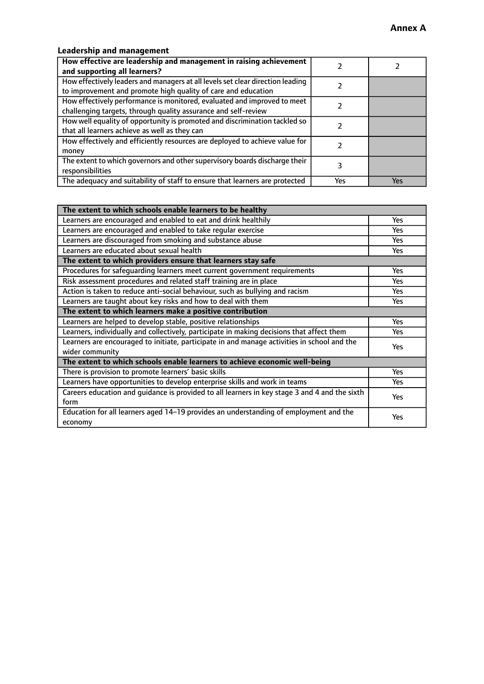# **Leadership and management**

| How effective are leadership and management in raising achievement<br>and supporting all learners?                                              |     |     |
|-------------------------------------------------------------------------------------------------------------------------------------------------|-----|-----|
| How effectively leaders and managers at all levels set clear direction leading<br>to improvement and promote high quality of care and education |     |     |
| How effectively performance is monitored, evaluated and improved to meet<br>challenging targets, through quality assurance and self-review      |     |     |
| How well equality of opportunity is promoted and discrimination tackled so<br>that all learners achieve as well as they can                     |     |     |
| How effectively and efficiently resources are deployed to achieve value for<br>money                                                            |     |     |
| The extent to which governors and other supervisory boards discharge their<br>responsibilities                                                  |     |     |
| The adequacy and suitability of staff to ensure that learners are protected                                                                     | Yes | Yes |

| The extent to which schools enable learners to be healthy                                     |            |  |
|-----------------------------------------------------------------------------------------------|------------|--|
| Learners are encouraged and enabled to eat and drink healthily                                | Yes        |  |
| Learners are encouraged and enabled to take regular exercise                                  | <b>Yes</b> |  |
| Learners are discouraged from smoking and substance abuse                                     | Yes        |  |
| Learners are educated about sexual health                                                     | Yes        |  |
| The extent to which providers ensure that learners stay safe                                  |            |  |
| Procedures for safeguarding learners meet current government requirements                     | Yes        |  |
| Risk assessment procedures and related staff training are in place                            | <b>Yes</b> |  |
| Action is taken to reduce anti-social behaviour, such as bullying and racism                  | Yes        |  |
| Learners are taught about key risks and how to deal with them                                 | Yes        |  |
| The extent to which learners make a positive contribution                                     |            |  |
| Learners are helped to develop stable, positive relationships                                 | <b>Yes</b> |  |
| Learners, individually and collectively, participate in making decisions that affect them     | <b>Yes</b> |  |
| Learners are encouraged to initiate, participate in and manage activities in school and the   | <b>Yes</b> |  |
| wider community                                                                               |            |  |
| The extent to which schools enable learners to achieve economic well-being                    |            |  |
| There is provision to promote learners' basic skills                                          | Yes        |  |
| Learners have opportunities to develop enterprise skills and work in teams                    | Yes        |  |
| Careers education and quidance is provided to all learners in key stage 3 and 4 and the sixth | Yes        |  |
| form                                                                                          |            |  |
| Education for all learners aged 14-19 provides an understanding of employment and the         | Yes        |  |
| economy                                                                                       |            |  |